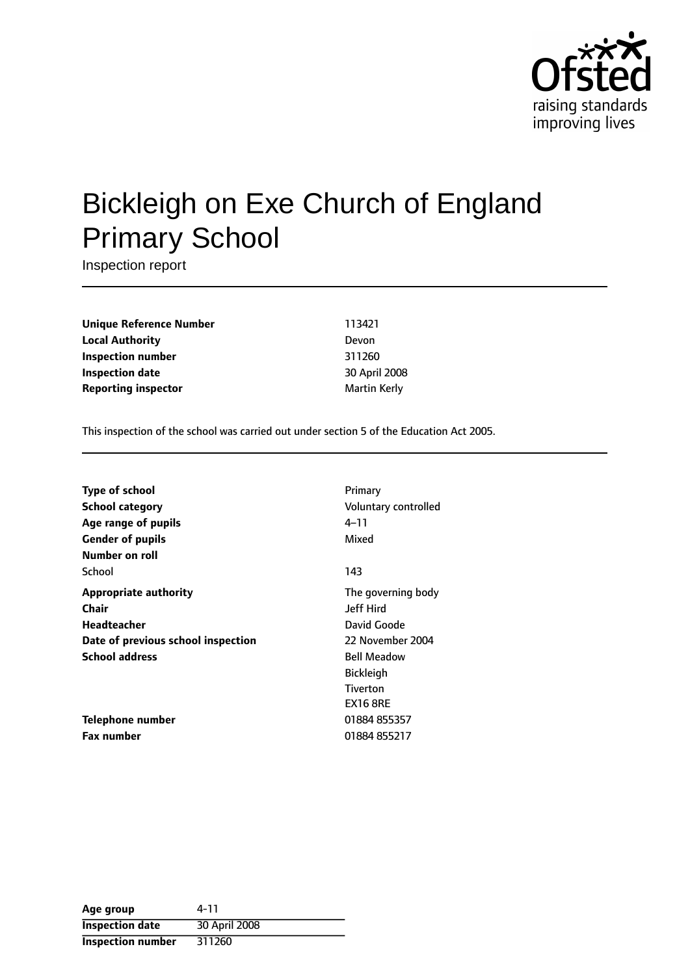

# Bickleigh on Exe Church of England Primary School

Inspection report

**Unique Reference Number** 113421 **Local Authority** Devon **Inspection number** 311260 **Inspection date** 30 April 2008 **Reporting inspector** and **a matter of the Martin Kerly** 

This inspection of the school was carried out under section 5 of the Education Act 2005.

| <b>Type of school</b>              | Primary              |
|------------------------------------|----------------------|
| <b>School category</b>             | Voluntary controlled |
| Age range of pupils                | 4–11                 |
| <b>Gender of pupils</b>            | Mixed                |
| Number on roll                     |                      |
| School                             | 143                  |
| <b>Appropriate authority</b>       | The governing body   |
| Chair                              | <b>Jeff Hird</b>     |
| Headteacher                        | David Goode          |
| Date of previous school inspection | 22 November 2004     |
| <b>School address</b>              | <b>Bell Meadow</b>   |
|                                    | <b>Bickleigh</b>     |
|                                    | <b>Tiverton</b>      |
|                                    | <b>EX16 8RE</b>      |
| Telephone number                   | 01884 855357         |
| <b>Fax number</b>                  | 01884 855217         |

| Age group                | 4-11          |
|--------------------------|---------------|
| <b>Inspection date</b>   | 30 April 2008 |
| <b>Inspection number</b> | 311260        |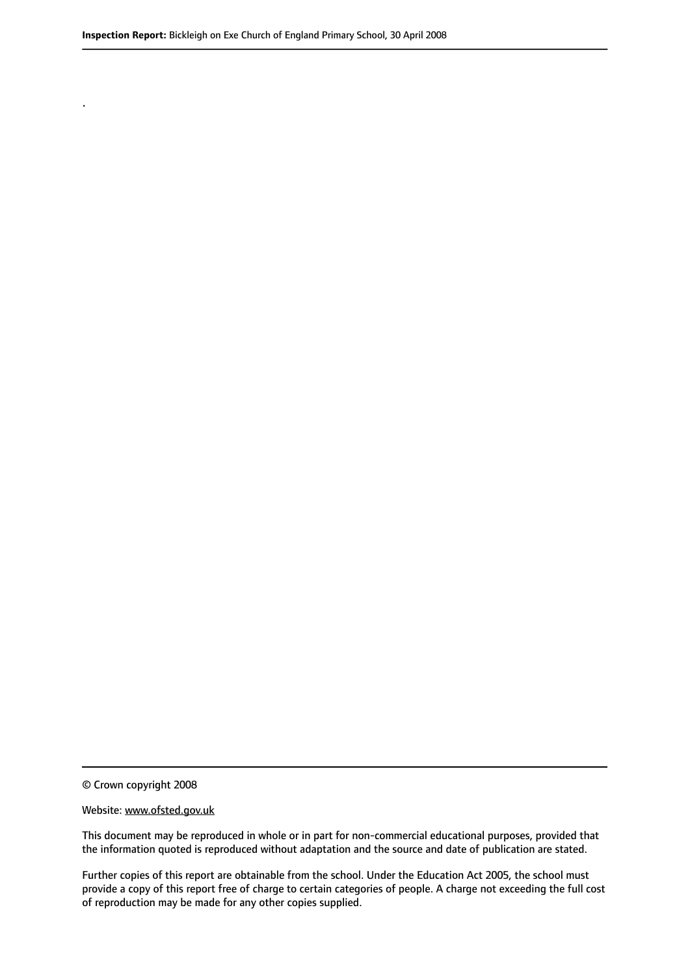© Crown copyright 2008

.

#### Website: www.ofsted.gov.uk

This document may be reproduced in whole or in part for non-commercial educational purposes, provided that the information quoted is reproduced without adaptation and the source and date of publication are stated.

Further copies of this report are obtainable from the school. Under the Education Act 2005, the school must provide a copy of this report free of charge to certain categories of people. A charge not exceeding the full cost of reproduction may be made for any other copies supplied.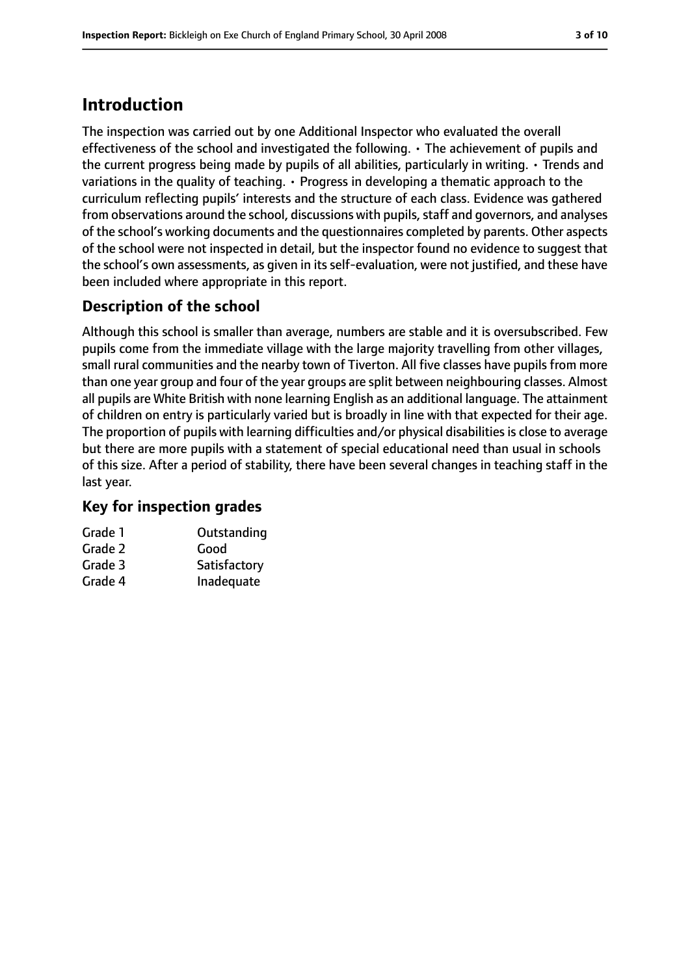## **Introduction**

The inspection was carried out by one Additional Inspector who evaluated the overall effectiveness of the school and investigated the following. • The achievement of pupils and the current progress being made by pupils of all abilities, particularly in writing. • Trends and variations in the quality of teaching. • Progress in developing a thematic approach to the curriculum reflecting pupils' interests and the structure of each class. Evidence was gathered from observations around the school, discussions with pupils, staff and governors, and analyses of the school's working documents and the questionnaires completed by parents. Other aspects of the school were not inspected in detail, but the inspector found no evidence to suggest that the school's own assessments, as given in its self-evaluation, were not justified, and these have been included where appropriate in this report.

#### **Description of the school**

Although this school is smaller than average, numbers are stable and it is oversubscribed. Few pupils come from the immediate village with the large majority travelling from other villages, small rural communities and the nearby town of Tiverton. All five classes have pupils from more than one year group and four of the year groups are split between neighbouring classes. Almost all pupils are White British with none learning English as an additional language. The attainment of children on entry is particularly varied but is broadly in line with that expected for their age. The proportion of pupils with learning difficulties and/or physical disabilities is close to average but there are more pupils with a statement of special educational need than usual in schools of this size. After a period of stability, there have been several changes in teaching staff in the last year.

#### **Key for inspection grades**

| Outstanding  |
|--------------|
| Good         |
| Satisfactory |
| Inadequate   |
|              |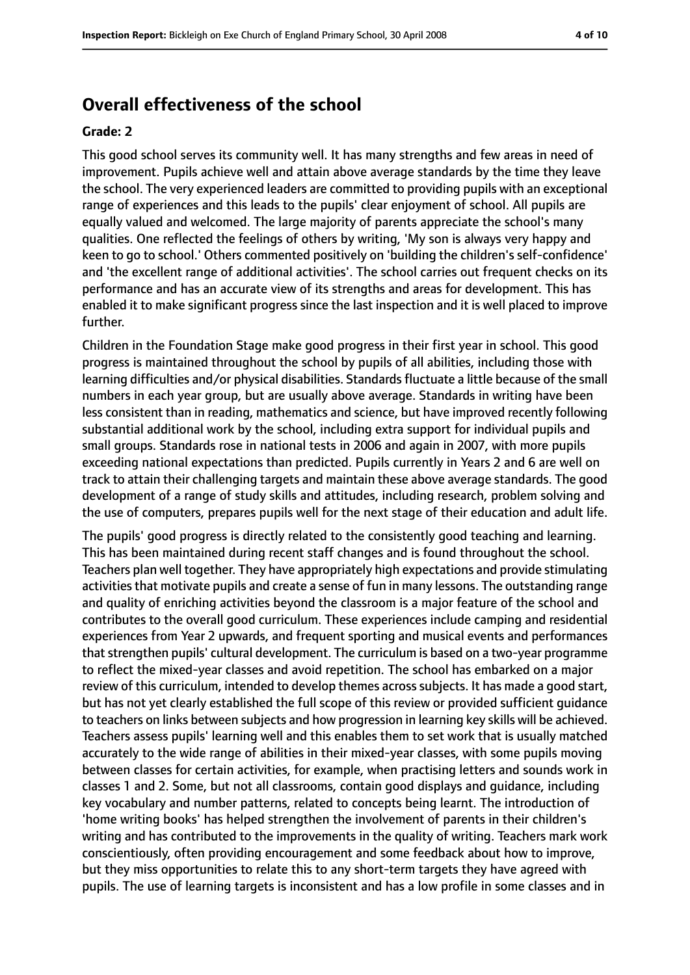## **Overall effectiveness of the school**

#### **Grade: 2**

This good school serves its community well. It has many strengths and few areas in need of improvement. Pupils achieve well and attain above average standards by the time they leave the school. The very experienced leaders are committed to providing pupils with an exceptional range of experiences and this leads to the pupils' clear enjoyment of school. All pupils are equally valued and welcomed. The large majority of parents appreciate the school's many qualities. One reflected the feelings of others by writing, 'My son is always very happy and keen to go to school.' Others commented positively on 'building the children's self-confidence' and 'the excellent range of additional activities'. The school carries out frequent checks on its performance and has an accurate view of its strengths and areas for development. This has enabled it to make significant progress since the last inspection and it is well placed to improve further.

Children in the Foundation Stage make good progress in their first year in school. This good progress is maintained throughout the school by pupils of all abilities, including those with learning difficulties and/or physical disabilities. Standards fluctuate a little because of the small numbers in each year group, but are usually above average. Standards in writing have been less consistent than in reading, mathematics and science, but have improved recently following substantial additional work by the school, including extra support for individual pupils and small groups. Standards rose in national tests in 2006 and again in 2007, with more pupils exceeding national expectations than predicted. Pupils currently in Years 2 and 6 are well on track to attain their challenging targets and maintain these above average standards. The good development of a range of study skills and attitudes, including research, problem solving and the use of computers, prepares pupils well for the next stage of their education and adult life.

The pupils' good progress is directly related to the consistently good teaching and learning. This has been maintained during recent staff changes and is found throughout the school. Teachers plan well together. They have appropriately high expectations and provide stimulating activities that motivate pupils and create a sense of fun in many lessons. The outstanding range and quality of enriching activities beyond the classroom is a major feature of the school and contributes to the overall good curriculum. These experiences include camping and residential experiences from Year 2 upwards, and frequent sporting and musical events and performances that strengthen pupils' cultural development. The curriculum is based on a two-year programme to reflect the mixed-year classes and avoid repetition. The school has embarked on a major review of this curriculum, intended to develop themes across subjects. It has made a good start, but has not yet clearly established the full scope of this review or provided sufficient guidance to teachers on links between subjects and how progression in learning key skills will be achieved. Teachers assess pupils' learning well and this enables them to set work that is usually matched accurately to the wide range of abilities in their mixed-year classes, with some pupils moving between classes for certain activities, for example, when practising letters and sounds work in classes 1 and 2. Some, but not all classrooms, contain good displays and guidance, including key vocabulary and number patterns, related to concepts being learnt. The introduction of 'home writing books' has helped strengthen the involvement of parents in their children's writing and has contributed to the improvements in the quality of writing. Teachers mark work conscientiously, often providing encouragement and some feedback about how to improve, but they miss opportunities to relate this to any short-term targets they have agreed with pupils. The use of learning targets is inconsistent and has a low profile in some classes and in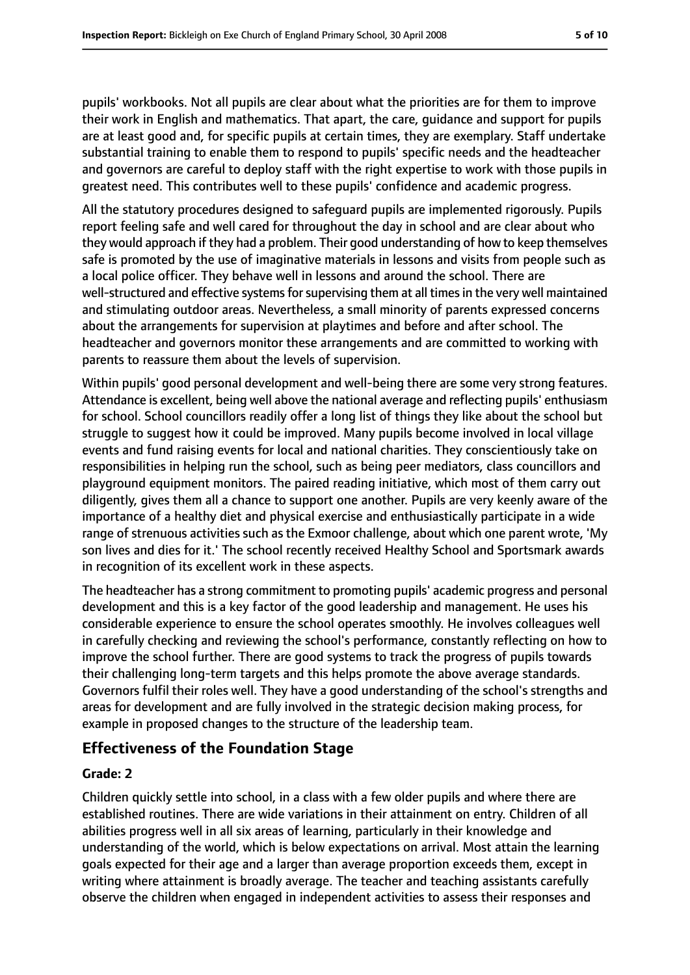pupils' workbooks. Not all pupils are clear about what the priorities are for them to improve their work in English and mathematics. That apart, the care, guidance and support for pupils are at least good and, for specific pupils at certain times, they are exemplary. Staff undertake substantial training to enable them to respond to pupils' specific needs and the headteacher and governors are careful to deploy staff with the right expertise to work with those pupils in greatest need. This contributes well to these pupils' confidence and academic progress.

All the statutory procedures designed to safeguard pupils are implemented rigorously. Pupils report feeling safe and well cared for throughout the day in school and are clear about who they would approach if they had a problem. Their good understanding of how to keep themselves safe is promoted by the use of imaginative materials in lessons and visits from people such as a local police officer. They behave well in lessons and around the school. There are well-structured and effective systems for supervising them at all times in the very well maintained and stimulating outdoor areas. Nevertheless, a small minority of parents expressed concerns about the arrangements for supervision at playtimes and before and after school. The headteacher and governors monitor these arrangements and are committed to working with parents to reassure them about the levels of supervision.

Within pupils' good personal development and well-being there are some very strong features. Attendance is excellent, being well above the national average and reflecting pupils' enthusiasm for school. School councillors readily offer a long list of things they like about the school but struggle to suggest how it could be improved. Many pupils become involved in local village events and fund raising events for local and national charities. They conscientiously take on responsibilities in helping run the school, such as being peer mediators, class councillors and playground equipment monitors. The paired reading initiative, which most of them carry out diligently, gives them all a chance to support one another. Pupils are very keenly aware of the importance of a healthy diet and physical exercise and enthusiastically participate in a wide range of strenuous activities such as the Exmoor challenge, about which one parent wrote, 'My son lives and dies for it.' The school recently received Healthy School and Sportsmark awards in recognition of its excellent work in these aspects.

The headteacher has a strong commitment to promoting pupils' academic progress and personal development and this is a key factor of the good leadership and management. He uses his considerable experience to ensure the school operates smoothly. He involves colleagues well in carefully checking and reviewing the school's performance, constantly reflecting on how to improve the school further. There are good systems to track the progress of pupils towards their challenging long-term targets and this helps promote the above average standards. Governors fulfil their roles well. They have a good understanding of the school's strengths and areas for development and are fully involved in the strategic decision making process, for example in proposed changes to the structure of the leadership team.

#### **Effectiveness of the Foundation Stage**

#### **Grade: 2**

Children quickly settle into school, in a class with a few older pupils and where there are established routines. There are wide variations in their attainment on entry. Children of all abilities progress well in all six areas of learning, particularly in their knowledge and understanding of the world, which is below expectations on arrival. Most attain the learning goals expected for their age and a larger than average proportion exceeds them, except in writing where attainment is broadly average. The teacher and teaching assistants carefully observe the children when engaged in independent activities to assess their responses and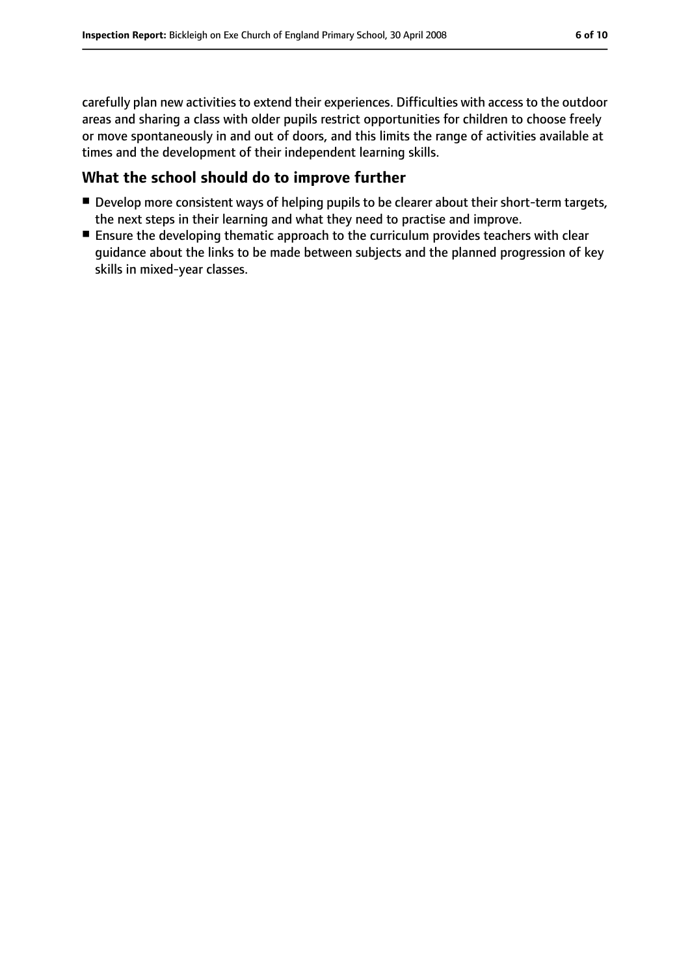carefully plan new activities to extend their experiences. Difficulties with access to the outdoor areas and sharing a class with older pupils restrict opportunities for children to choose freely or move spontaneously in and out of doors, and this limits the range of activities available at times and the development of their independent learning skills.

#### **What the school should do to improve further**

- Develop more consistent ways of helping pupils to be clearer about their short-term targets, the next steps in their learning and what they need to practise and improve.
- Ensure the developing thematic approach to the curriculum provides teachers with clear guidance about the links to be made between subjects and the planned progression of key skills in mixed-year classes.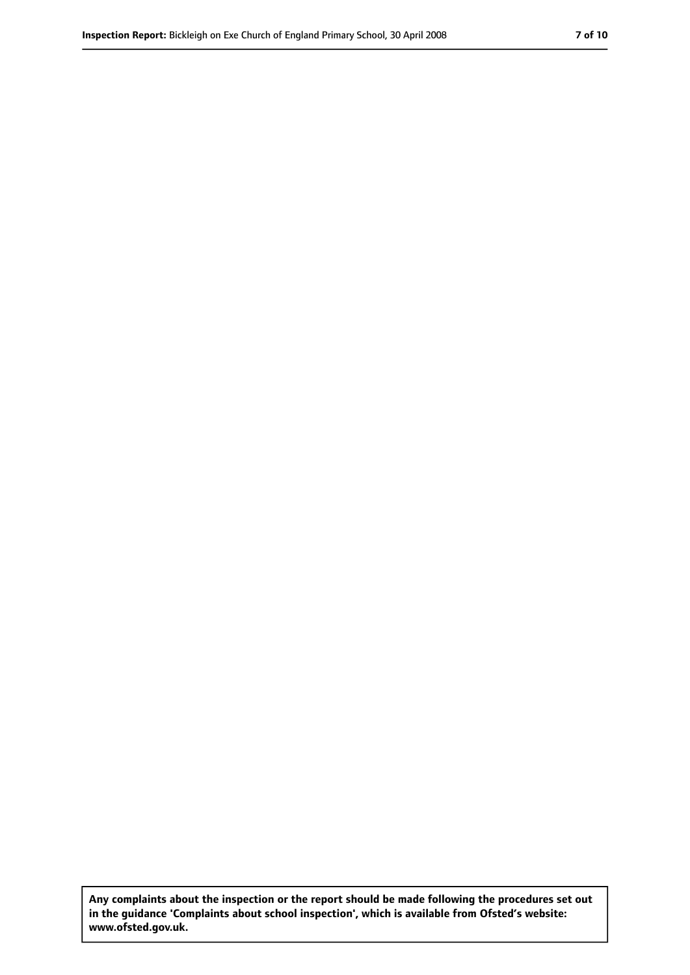**Any complaints about the inspection or the report should be made following the procedures set out in the guidance 'Complaints about school inspection', which is available from Ofsted's website: www.ofsted.gov.uk.**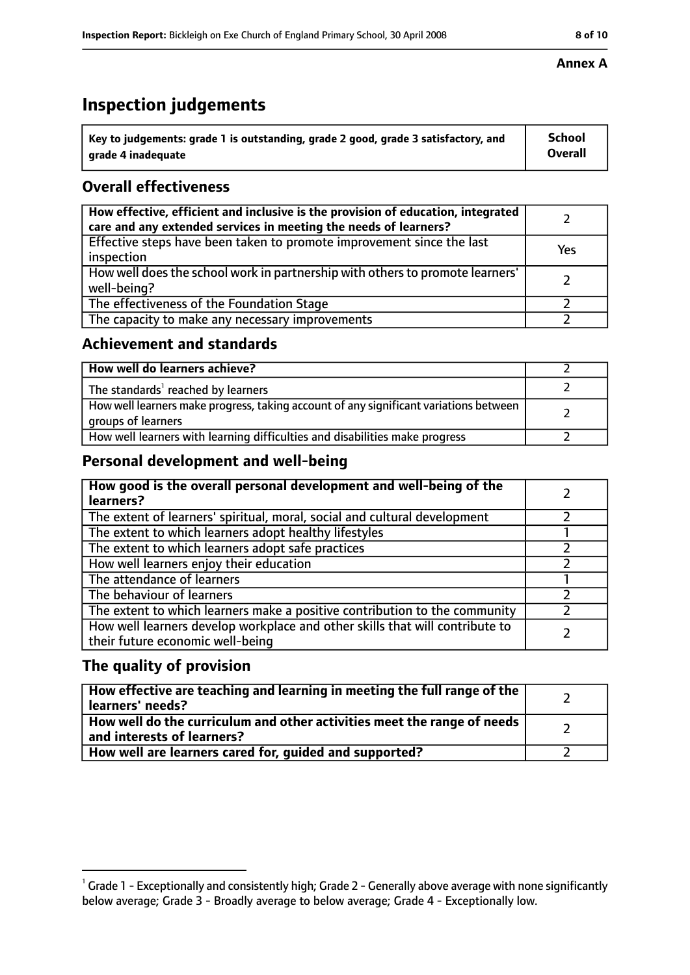# **Inspection judgements**

| $^{\backprime}$ Key to judgements: grade 1 is outstanding, grade 2 good, grade 3 satisfactory, and | <b>School</b>  |
|----------------------------------------------------------------------------------------------------|----------------|
| arade 4 inadeguate                                                                                 | <b>Overall</b> |

### **Overall effectiveness**

| How effective, efficient and inclusive is the provision of education, integrated<br>care and any extended services in meeting the needs of learners? |     |
|------------------------------------------------------------------------------------------------------------------------------------------------------|-----|
| Effective steps have been taken to promote improvement since the last<br>inspection                                                                  | Yes |
| How well does the school work in partnership with others to promote learners'<br>well-being?                                                         |     |
| The effectiveness of the Foundation Stage                                                                                                            |     |
| The capacity to make any necessary improvements                                                                                                      |     |

#### **Achievement and standards**

| How well do learners achieve?                                                                               |  |
|-------------------------------------------------------------------------------------------------------------|--|
| The standards <sup>1</sup> reached by learners                                                              |  |
| How well learners make progress, taking account of any significant variations between<br>groups of learners |  |
| How well learners with learning difficulties and disabilities make progress                                 |  |

#### **Personal development and well-being**

| How good is the overall personal development and well-being of the<br>learners?                                  |  |
|------------------------------------------------------------------------------------------------------------------|--|
| The extent of learners' spiritual, moral, social and cultural development                                        |  |
| The extent to which learners adopt healthy lifestyles                                                            |  |
| The extent to which learners adopt safe practices                                                                |  |
| How well learners enjoy their education                                                                          |  |
| The attendance of learners                                                                                       |  |
| The behaviour of learners                                                                                        |  |
| The extent to which learners make a positive contribution to the community                                       |  |
| How well learners develop workplace and other skills that will contribute to<br>their future economic well-being |  |

#### **The quality of provision**

| How effective are teaching and learning in meeting the full range of the<br>learners' needs?          |  |
|-------------------------------------------------------------------------------------------------------|--|
| How well do the curriculum and other activities meet the range of needs<br>and interests of learners? |  |
| How well are learners cared for, guided and supported?                                                |  |

#### **Annex A**

 $^1$  Grade 1 - Exceptionally and consistently high; Grade 2 - Generally above average with none significantly below average; Grade 3 - Broadly average to below average; Grade 4 - Exceptionally low.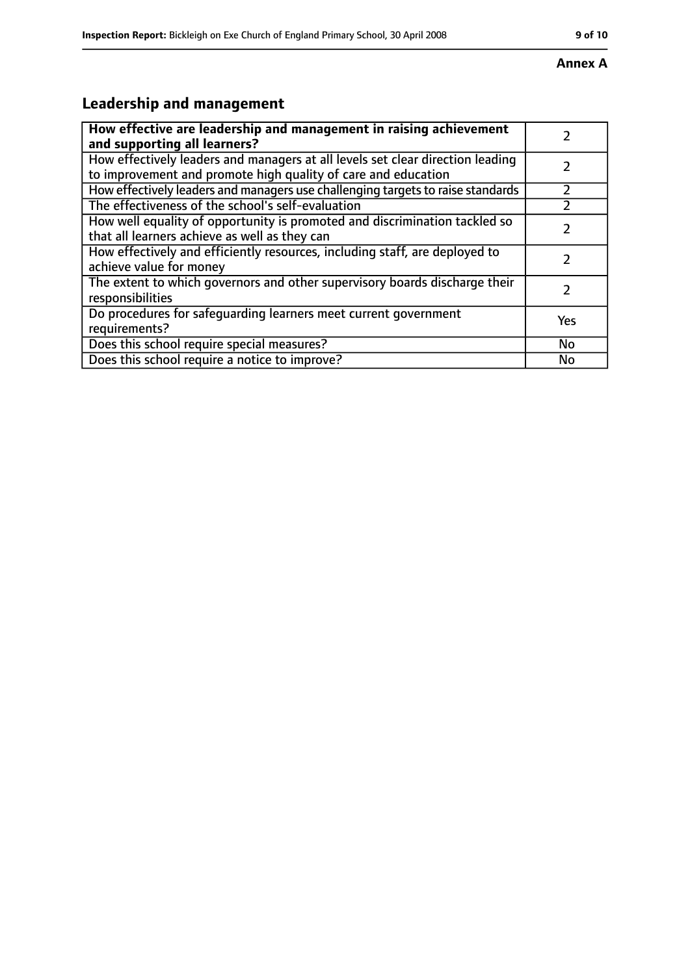# **Leadership and management**

| How effective are leadership and management in raising achievement                                                                              |           |
|-------------------------------------------------------------------------------------------------------------------------------------------------|-----------|
| and supporting all learners?                                                                                                                    |           |
| How effectively leaders and managers at all levels set clear direction leading<br>to improvement and promote high quality of care and education |           |
| How effectively leaders and managers use challenging targets to raise standards                                                                 | フ         |
| The effectiveness of the school's self-evaluation                                                                                               |           |
| How well equality of opportunity is promoted and discrimination tackled so<br>that all learners achieve as well as they can                     |           |
| How effectively and efficiently resources, including staff, are deployed to<br>achieve value for money                                          |           |
| The extent to which governors and other supervisory boards discharge their<br>responsibilities                                                  | 7         |
| Do procedures for safequarding learners meet current government<br>requirements?                                                                | Yes       |
| Does this school require special measures?                                                                                                      | <b>No</b> |
| Does this school require a notice to improve?                                                                                                   | No        |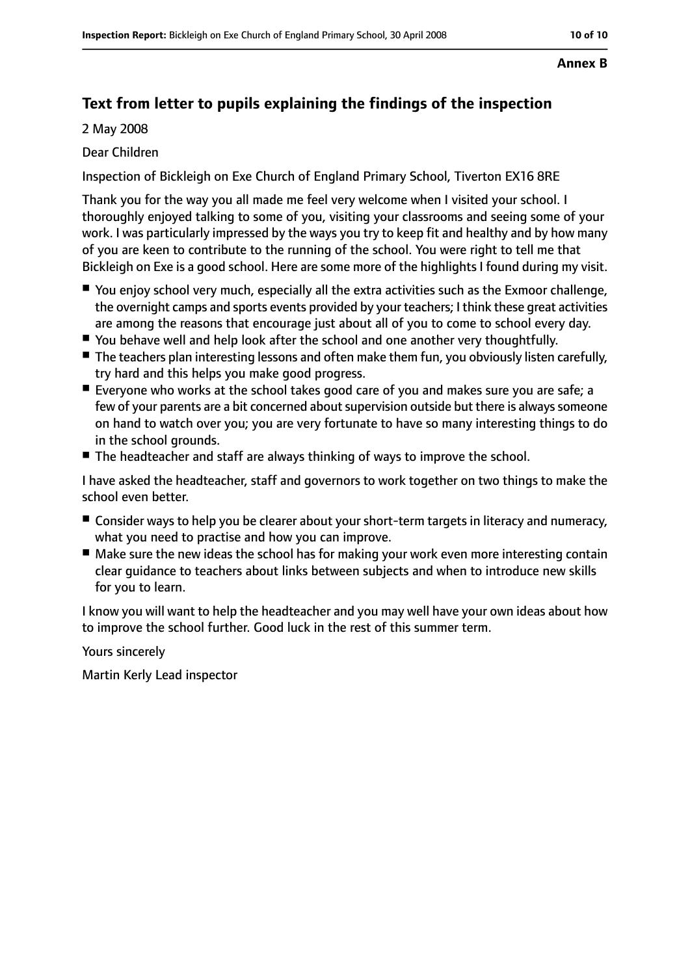#### **Annex B**

## **Text from letter to pupils explaining the findings of the inspection**

2 May 2008

#### Dear Children

Inspection of Bickleigh on Exe Church of England Primary School, Tiverton EX16 8RE

Thank you for the way you all made me feel very welcome when I visited your school. I thoroughly enjoyed talking to some of you, visiting your classrooms and seeing some of your work. I was particularly impressed by the ways you try to keep fit and healthy and by how many of you are keen to contribute to the running of the school. You were right to tell me that Bickleigh on Exe is a good school. Here are some more of the highlights I found during my visit.

- You enjoy school very much, especially all the extra activities such as the Exmoor challenge, the overnight camps and sports events provided by your teachers; I think these great activities are among the reasons that encourage just about all of you to come to school every day.
- You behave well and help look after the school and one another very thoughtfully.
- The teachers plan interesting lessons and often make them fun, you obviously listen carefully, try hard and this helps you make good progress.
- Everyone who works at the school takes good care of you and makes sure you are safe; a few of your parents are a bit concerned about supervision outside but there is always someone on hand to watch over you; you are very fortunate to have so many interesting things to do in the school grounds.
- The headteacher and staff are always thinking of ways to improve the school.

I have asked the headteacher, staff and governors to work together on two things to make the school even better.

- Consider ways to help you be clearer about your short-term targets in literacy and numeracy, what you need to practise and how you can improve.
- Make sure the new ideas the school has for making your work even more interesting contain clear guidance to teachers about links between subjects and when to introduce new skills for you to learn.

I know you will want to help the headteacher and you may well have your own ideas about how to improve the school further. Good luck in the rest of this summer term.

Yours sincerely

Martin Kerly Lead inspector